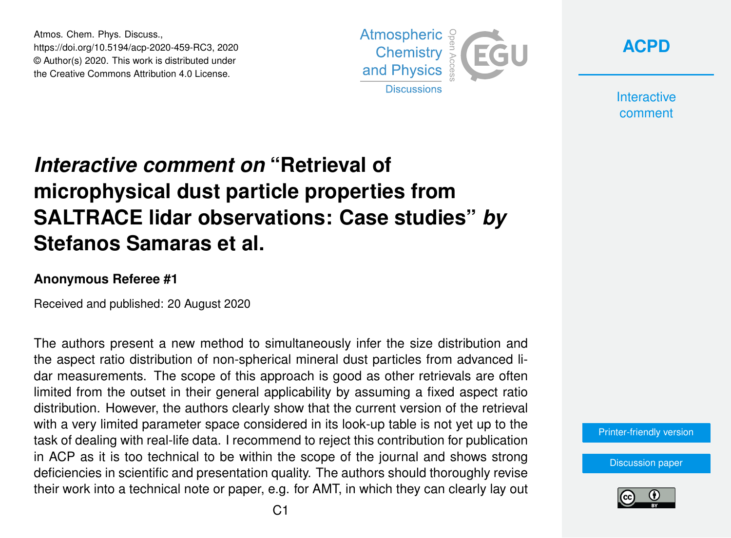Atmos. Chem. Phys. Discuss., https://doi.org/10.5194/acp-2020-459-RC3, 2020 © Author(s) 2020. This work is distributed under the Creative Commons Attribution 4.0 License.



**[ACPD](https://acp.copernicus.org/preprints/)**

**Interactive** comment

## *Interactive comment on* **"Retrieval of microphysical dust particle properties from SALTRACE lidar observations: Case studies"** *by* **Stefanos Samaras et al.**

## **Anonymous Referee #1**

Received and published: 20 August 2020

The authors present a new method to simultaneously infer the size distribution and the aspect ratio distribution of non-spherical mineral dust particles from advanced lidar measurements. The scope of this approach is good as other retrievals are often limited from the outset in their general applicability by assuming a fixed aspect ratio distribution. However, the authors clearly show that the current version of the retrieval with a very limited parameter space considered in its look-up table is not yet up to the task of dealing with real-life data. I recommend to reject this contribution for publication in ACP as it is too technical to be within the scope of the journal and shows strong deficiencies in scientific and presentation quality. The authors should thoroughly revise their work into a technical note or paper, e.g. for AMT, in which they can clearly lay out

[Printer-friendly version](https://acp.copernicus.org/preprints/acp-2020-459/acp-2020-459-RC3-print.pdf)

[Discussion paper](https://acp.copernicus.org/preprints/acp-2020-459)